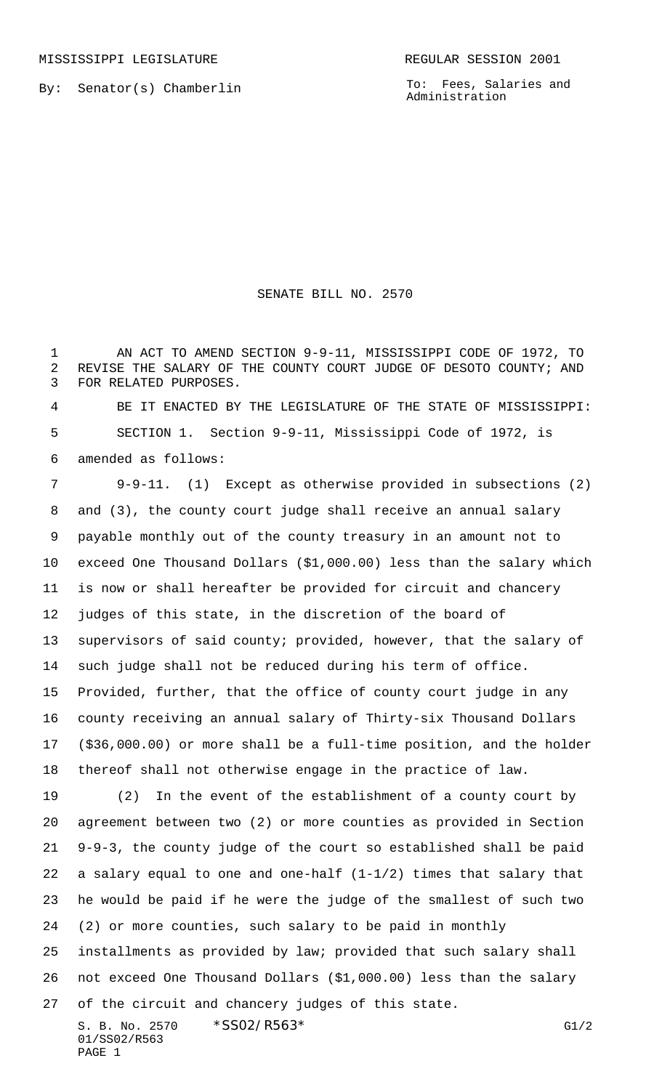MISSISSIPPI LEGISLATURE **REGULAR SESSION 2001** 

By: Senator(s) Chamberlin

To: Fees, Salaries and Administration

## SENATE BILL NO. 2570

1 AN ACT TO AMEND SECTION 9-9-11, MISSISSIPPI CODE OF 1972, TO REVISE THE SALARY OF THE COUNTY COURT JUDGE OF DESOTO COUNTY; AND FOR RELATED PURPOSES.

 BE IT ENACTED BY THE LEGISLATURE OF THE STATE OF MISSISSIPPI: SECTION 1. Section 9-9-11, Mississippi Code of 1972, is amended as follows:

 9-9-11. (1) Except as otherwise provided in subsections (2) and (3), the county court judge shall receive an annual salary payable monthly out of the county treasury in an amount not to exceed One Thousand Dollars (\$1,000.00) less than the salary which is now or shall hereafter be provided for circuit and chancery judges of this state, in the discretion of the board of supervisors of said county; provided, however, that the salary of such judge shall not be reduced during his term of office. Provided, further, that the office of county court judge in any county receiving an annual salary of Thirty-six Thousand Dollars (\$36,000.00) or more shall be a full-time position, and the holder thereof shall not otherwise engage in the practice of law. (2) In the event of the establishment of a county court by

 agreement between two (2) or more counties as provided in Section 9-9-3, the county judge of the court so established shall be paid a salary equal to one and one-half (1-1/2) times that salary that he would be paid if he were the judge of the smallest of such two (2) or more counties, such salary to be paid in monthly

 installments as provided by law; provided that such salary shall not exceed One Thousand Dollars (\$1,000.00) less than the salary of the circuit and chancery judges of this state.

S. B. No. 2570  $*SS02/R563*$  G1/2 01/SS02/R563 PAGE 1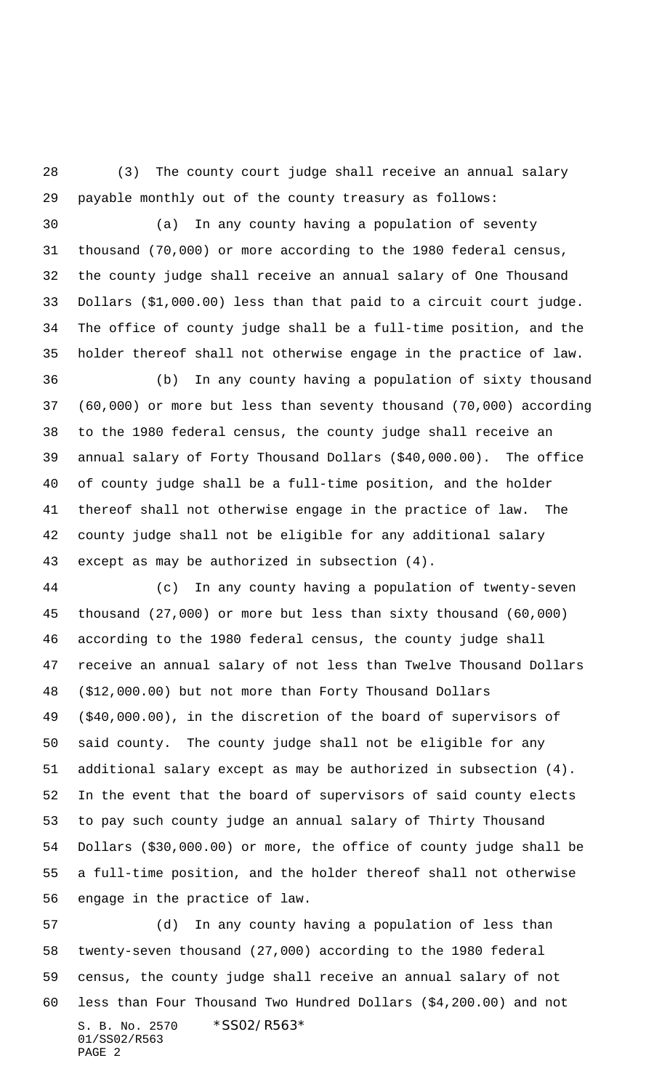(3) The county court judge shall receive an annual salary payable monthly out of the county treasury as follows:

 (a) In any county having a population of seventy thousand (70,000) or more according to the 1980 federal census, the county judge shall receive an annual salary of One Thousand Dollars (\$1,000.00) less than that paid to a circuit court judge. The office of county judge shall be a full-time position, and the holder thereof shall not otherwise engage in the practice of law.

 (b) In any county having a population of sixty thousand (60,000) or more but less than seventy thousand (70,000) according to the 1980 federal census, the county judge shall receive an annual salary of Forty Thousand Dollars (\$40,000.00). The office of county judge shall be a full-time position, and the holder thereof shall not otherwise engage in the practice of law. The county judge shall not be eligible for any additional salary except as may be authorized in subsection (4).

 (c) In any county having a population of twenty-seven thousand (27,000) or more but less than sixty thousand (60,000) according to the 1980 federal census, the county judge shall receive an annual salary of not less than Twelve Thousand Dollars (\$12,000.00) but not more than Forty Thousand Dollars (\$40,000.00), in the discretion of the board of supervisors of said county. The county judge shall not be eligible for any additional salary except as may be authorized in subsection (4). In the event that the board of supervisors of said county elects to pay such county judge an annual salary of Thirty Thousand Dollars (\$30,000.00) or more, the office of county judge shall be a full-time position, and the holder thereof shall not otherwise engage in the practice of law.

S. B. No. 2570 \*SS02/R563\* 01/SS02/R563 PAGE 2 (d) In any county having a population of less than twenty-seven thousand (27,000) according to the 1980 federal census, the county judge shall receive an annual salary of not less than Four Thousand Two Hundred Dollars (\$4,200.00) and not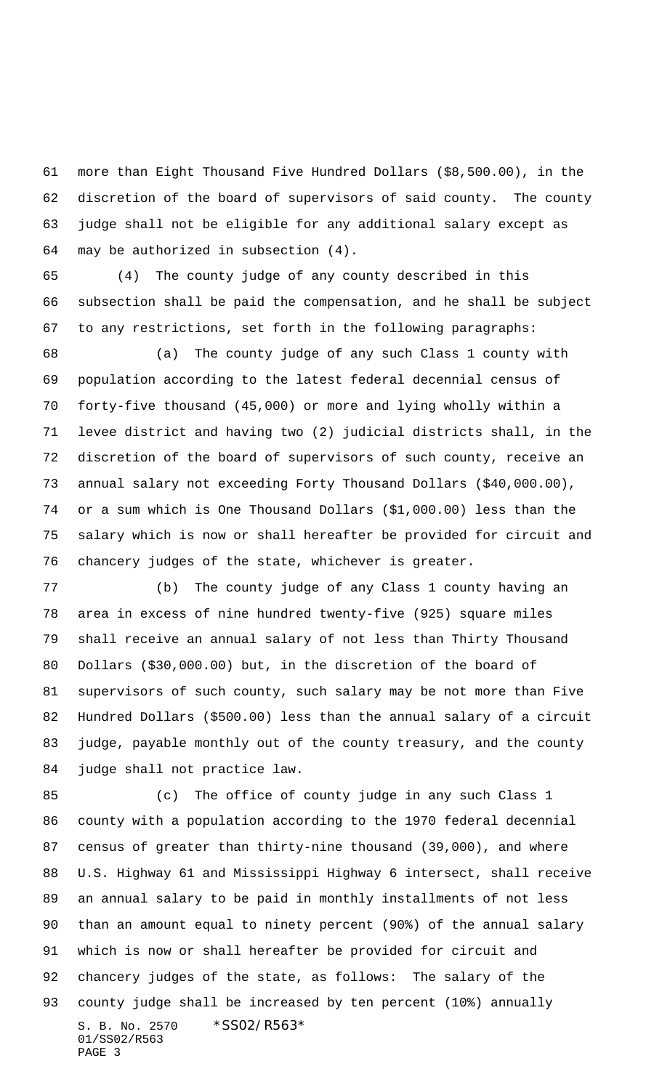more than Eight Thousand Five Hundred Dollars (\$8,500.00), in the discretion of the board of supervisors of said county. The county judge shall not be eligible for any additional salary except as may be authorized in subsection (4).

 (4) The county judge of any county described in this subsection shall be paid the compensation, and he shall be subject to any restrictions, set forth in the following paragraphs:

 (a) The county judge of any such Class 1 county with population according to the latest federal decennial census of forty-five thousand (45,000) or more and lying wholly within a levee district and having two (2) judicial districts shall, in the discretion of the board of supervisors of such county, receive an annual salary not exceeding Forty Thousand Dollars (\$40,000.00), or a sum which is One Thousand Dollars (\$1,000.00) less than the salary which is now or shall hereafter be provided for circuit and chancery judges of the state, whichever is greater.

 (b) The county judge of any Class 1 county having an area in excess of nine hundred twenty-five (925) square miles shall receive an annual salary of not less than Thirty Thousand Dollars (\$30,000.00) but, in the discretion of the board of supervisors of such county, such salary may be not more than Five Hundred Dollars (\$500.00) less than the annual salary of a circuit judge, payable monthly out of the county treasury, and the county judge shall not practice law.

S. B. No. 2570 \* SS02/R563\* 01/SS02/R563 PAGE 3 (c) The office of county judge in any such Class 1 county with a population according to the 1970 federal decennial census of greater than thirty-nine thousand (39,000), and where U.S. Highway 61 and Mississippi Highway 6 intersect, shall receive an annual salary to be paid in monthly installments of not less than an amount equal to ninety percent (90%) of the annual salary which is now or shall hereafter be provided for circuit and chancery judges of the state, as follows: The salary of the county judge shall be increased by ten percent (10%) annually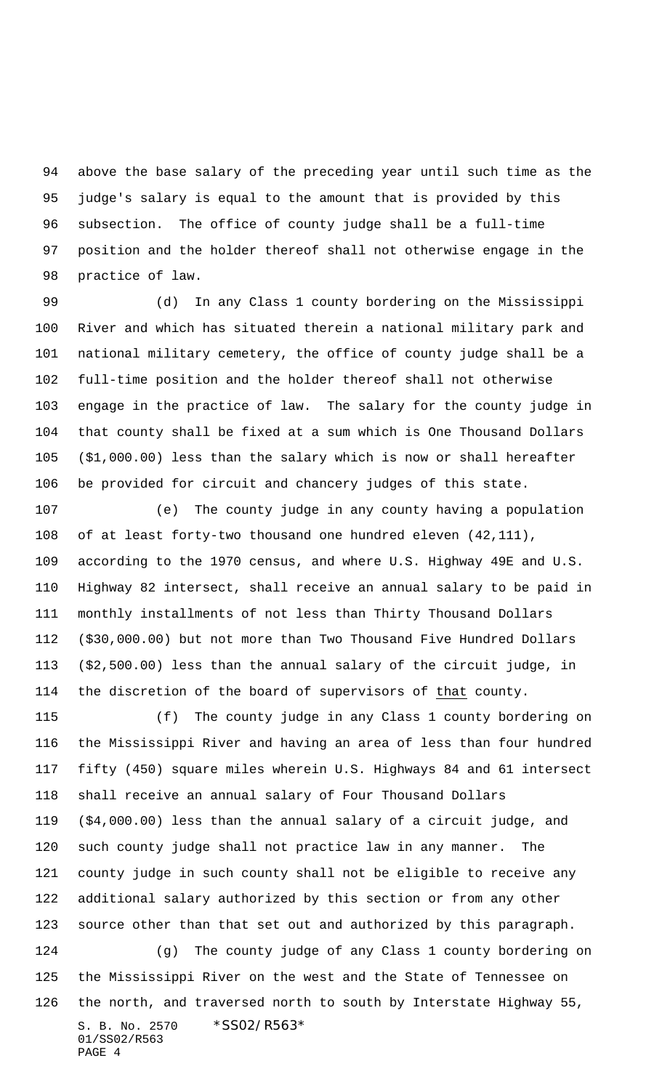above the base salary of the preceding year until such time as the judge's salary is equal to the amount that is provided by this subsection. The office of county judge shall be a full-time position and the holder thereof shall not otherwise engage in the practice of law.

 (d) In any Class 1 county bordering on the Mississippi River and which has situated therein a national military park and national military cemetery, the office of county judge shall be a full-time position and the holder thereof shall not otherwise engage in the practice of law. The salary for the county judge in that county shall be fixed at a sum which is One Thousand Dollars (\$1,000.00) less than the salary which is now or shall hereafter be provided for circuit and chancery judges of this state.

 (e) The county judge in any county having a population of at least forty-two thousand one hundred eleven (42,111), according to the 1970 census, and where U.S. Highway 49E and U.S. Highway 82 intersect, shall receive an annual salary to be paid in monthly installments of not less than Thirty Thousand Dollars (\$30,000.00) but not more than Two Thousand Five Hundred Dollars (\$2,500.00) less than the annual salary of the circuit judge, in the discretion of the board of supervisors of that county.

S. B. No. 2570 \* SS02/R563\* 01/SS02/R563 PAGE 4 (f) The county judge in any Class 1 county bordering on the Mississippi River and having an area of less than four hundred fifty (450) square miles wherein U.S. Highways 84 and 61 intersect shall receive an annual salary of Four Thousand Dollars (\$4,000.00) less than the annual salary of a circuit judge, and such county judge shall not practice law in any manner. The county judge in such county shall not be eligible to receive any additional salary authorized by this section or from any other source other than that set out and authorized by this paragraph. (g) The county judge of any Class 1 county bordering on the Mississippi River on the west and the State of Tennessee on the north, and traversed north to south by Interstate Highway 55,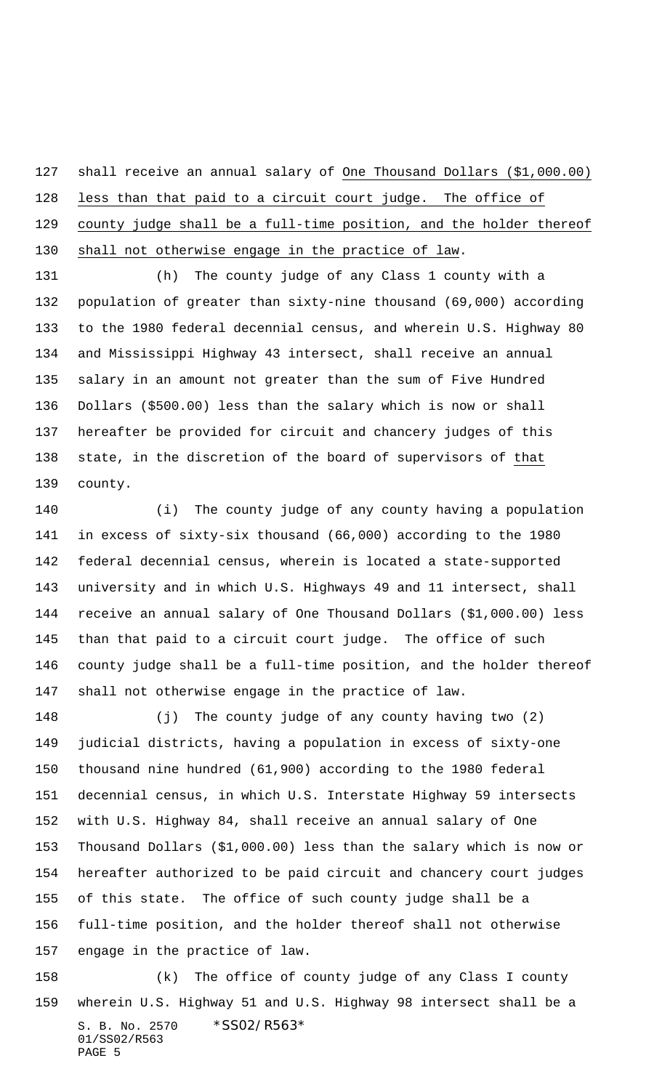shall receive an annual salary of One Thousand Dollars (\$1,000.00) less than that paid to a circuit court judge. The office of 129 county judge shall be a full-time position, and the holder thereof 130 shall not otherwise engage in the practice of law.

 (h) The county judge of any Class 1 county with a population of greater than sixty-nine thousand (69,000) according to the 1980 federal decennial census, and wherein U.S. Highway 80 and Mississippi Highway 43 intersect, shall receive an annual salary in an amount not greater than the sum of Five Hundred Dollars (\$500.00) less than the salary which is now or shall hereafter be provided for circuit and chancery judges of this state, in the discretion of the board of supervisors of that county.

 (i) The county judge of any county having a population in excess of sixty-six thousand (66,000) according to the 1980 federal decennial census, wherein is located a state-supported university and in which U.S. Highways 49 and 11 intersect, shall receive an annual salary of One Thousand Dollars (\$1,000.00) less than that paid to a circuit court judge. The office of such county judge shall be a full-time position, and the holder thereof shall not otherwise engage in the practice of law.

 (j) The county judge of any county having two (2) judicial districts, having a population in excess of sixty-one thousand nine hundred (61,900) according to the 1980 federal decennial census, in which U.S. Interstate Highway 59 intersects with U.S. Highway 84, shall receive an annual salary of One Thousand Dollars (\$1,000.00) less than the salary which is now or hereafter authorized to be paid circuit and chancery court judges of this state. The office of such county judge shall be a full-time position, and the holder thereof shall not otherwise engage in the practice of law.

S. B. No. 2570 \*SS02/R563\* 01/SS02/R563 PAGE 5 (k) The office of county judge of any Class I county wherein U.S. Highway 51 and U.S. Highway 98 intersect shall be a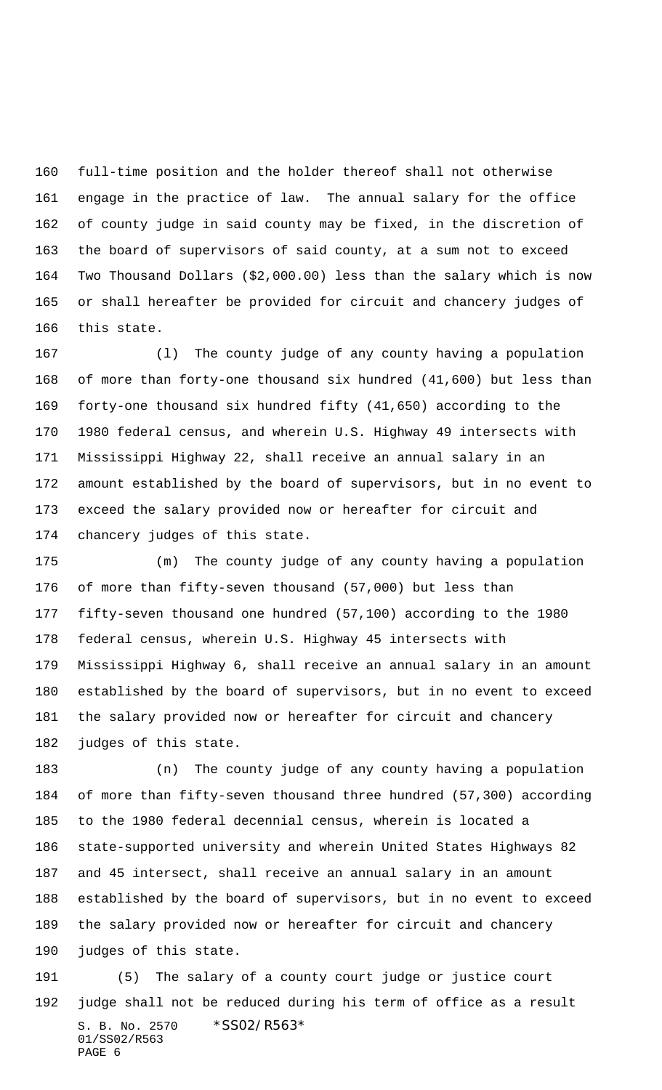full-time position and the holder thereof shall not otherwise engage in the practice of law. The annual salary for the office of county judge in said county may be fixed, in the discretion of the board of supervisors of said county, at a sum not to exceed Two Thousand Dollars (\$2,000.00) less than the salary which is now or shall hereafter be provided for circuit and chancery judges of this state.

 (l) The county judge of any county having a population of more than forty-one thousand six hundred (41,600) but less than forty-one thousand six hundred fifty (41,650) according to the 1980 federal census, and wherein U.S. Highway 49 intersects with Mississippi Highway 22, shall receive an annual salary in an amount established by the board of supervisors, but in no event to exceed the salary provided now or hereafter for circuit and chancery judges of this state.

 (m) The county judge of any county having a population of more than fifty-seven thousand (57,000) but less than fifty-seven thousand one hundred (57,100) according to the 1980 federal census, wherein U.S. Highway 45 intersects with Mississippi Highway 6, shall receive an annual salary in an amount established by the board of supervisors, but in no event to exceed the salary provided now or hereafter for circuit and chancery judges of this state.

 (n) The county judge of any county having a population of more than fifty-seven thousand three hundred (57,300) according to the 1980 federal decennial census, wherein is located a state-supported university and wherein United States Highways 82 and 45 intersect, shall receive an annual salary in an amount established by the board of supervisors, but in no event to exceed the salary provided now or hereafter for circuit and chancery judges of this state.

S. B. No. 2570 \* SS02/R563\* 01/SS02/R563 PAGE 6 (5) The salary of a county court judge or justice court judge shall not be reduced during his term of office as a result